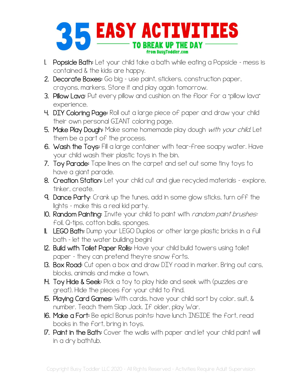

- 1. Popsicle Bath: Let your child take a bath while eating a Popsicle mess is contained & the kids are happy.
- 2. Decorate Boxes: Go big use paint, stickers, construction paper, crayons, markers. Store it and play again tomorrow.
- 3. Pillow Lava: Put every pillow and cushion on the floor for a "pillow lava" experience.
- 4. DIY Coloring Page: Roll out a large piece of paper and draw your child their own personal GIANT coloring page.
- 5. Make Play Dough: Make some homemade play dough with your child. Let them be a part of the process.
- 6. Wash the Toys: Fill a large container with tear-free soapy water. Have your child wash their plastic toys in the bin.
- 7. Toy Parade: Tape lines on the carpet and set out some tiny toys to have a giant parade.
- 8. Creation Station: Let your child cut and glue recycled materials explore, tinker, create.
- 9. Dance Party: Crank up the tunes, add in some glow sticks, turn off the lights – make this a real kid party.
- 10. Random Painting: Invite your child to paint with *random paint brushes:* foil, Q-tips, cotton balls, sponges.
- **II. LEGO Bath:** Dump your LEGO Duplos or other large plastic bricks in a full bath – let the water building begin!
- 12. Build with Toilet Paper Rolls: Have your child build towers using toilet paper – they can pretend they're snow forts.
- 13. Box Road: Cut open a box and draw DIY road in marker. Bring out cars, blocks, animals and make a town.
- 14. Toy Hide & Seek: Pick a toy to play hide and seek with (puzzles are great). Hide the pieces for your child to find.
- 15. Playing Card Games: With cards, have your child sort by color, suit, & number. Teach them Slap Jack. If older, play War.
- 16. Make a Fort: Be epic! Bonus points: have lunch INSIDE the fort, read books in the fort, bring in toys.
- 17. Paint in the Bath: Cover the walls with paper and let your child paint will in a dry bathtub.